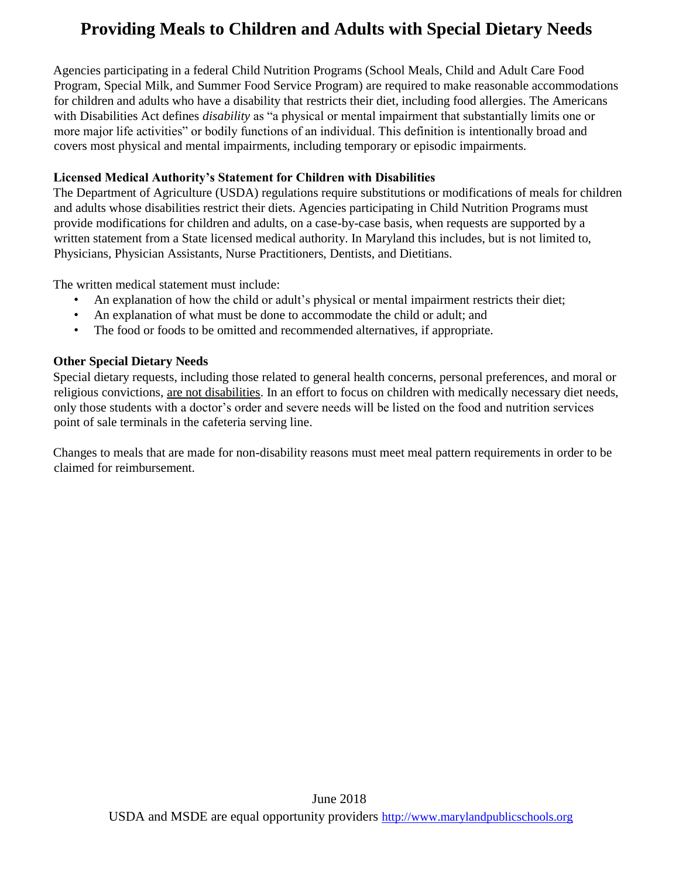# **Providing Meals to Children and Adults with Special Dietary Needs**

Agencies participating in a federal Child Nutrition Programs (School Meals, Child and Adult Care Food Program, Special Milk, and Summer Food Service Program) are required to make reasonable accommodations for children and adults who have a disability that restricts their diet, including food allergies. The Americans with Disabilities Act defines *disability* as "a physical or mental impairment that substantially limits one or more major life activities" or bodily functions of an individual. This definition is intentionally broad and covers most physical and mental impairments, including temporary or episodic impairments.

#### **Licensed Medical Authority's Statement for Children with Disabilities**

The Department of Agriculture (USDA) regulations require substitutions or modifications of meals for children and adults whose disabilities restrict their diets. Agencies participating in Child Nutrition Programs must provide modifications for children and adults, on a case-by-case basis, when requests are supported by a written statement from a State licensed medical authority. In Maryland this includes, but is not limited to, Physicians, Physician Assistants, Nurse Practitioners, Dentists, and Dietitians.

The written medical statement must include:

- An explanation of how the child or adult's physical or mental impairment restricts their diet;
- An explanation of what must be done to accommodate the child or adult; and
- The food or foods to be omitted and recommended alternatives, if appropriate.

#### **Other Special Dietary Needs**

Special dietary requests, including those related to general health concerns, personal preferences, and moral or religious convictions, are not disabilities. In an effort to focus on children with medically necessary diet needs, only those students with a doctor's order and severe needs will be listed on the food and nutrition services point of sale terminals in the cafeteria serving line.

Changes to meals that are made for non-disability reasons must meet meal pattern requirements in order to be claimed for reimbursement.